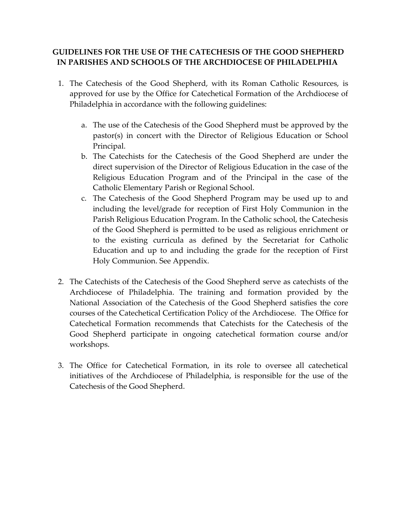## **GUIDELINES FOR THE USE OF THE CATECHESIS OF THE GOOD SHEPHERD IN PARISHES AND SCHOOLS OF THE ARCHDIOCESE OF PHILADELPHIA**

- 1. The Catechesis of the Good Shepherd, with its Roman Catholic Resources, is approved for use by the Office for Catechetical Formation of the Archdiocese of Philadelphia in accordance with the following guidelines:
	- a. The use of the Catechesis of the Good Shepherd must be approved by the pastor(s) in concert with the Director of Religious Education or School Principal.
	- b. The Catechists for the Catechesis of the Good Shepherd are under the direct supervision of the Director of Religious Education in the case of the Religious Education Program and of the Principal in the case of the Catholic Elementary Parish or Regional School.
	- c. The Catechesis of the Good Shepherd Program may be used up to and including the level/grade for reception of First Holy Communion in the Parish Religious Education Program. In the Catholic school, the Catechesis of the Good Shepherd is permitted to be used as religious enrichment or to the existing curricula as defined by the Secretariat for Catholic Education and up to and including the grade for the reception of First Holy Communion. See Appendix.
- 2. The Catechists of the Catechesis of the Good Shepherd serve as catechists of the Archdiocese of Philadelphia. The training and formation provided by the National Association of the Catechesis of the Good Shepherd satisfies the core courses of the Catechetical Certification Policy of the Archdiocese. The Office for Catechetical Formation recommends that Catechists for the Catechesis of the Good Shepherd participate in ongoing catechetical formation course and/or workshops.
- 3. The Office for Catechetical Formation, in its role to oversee all catechetical initiatives of the Archdiocese of Philadelphia, is responsible for the use of the Catechesis of the Good Shepherd.